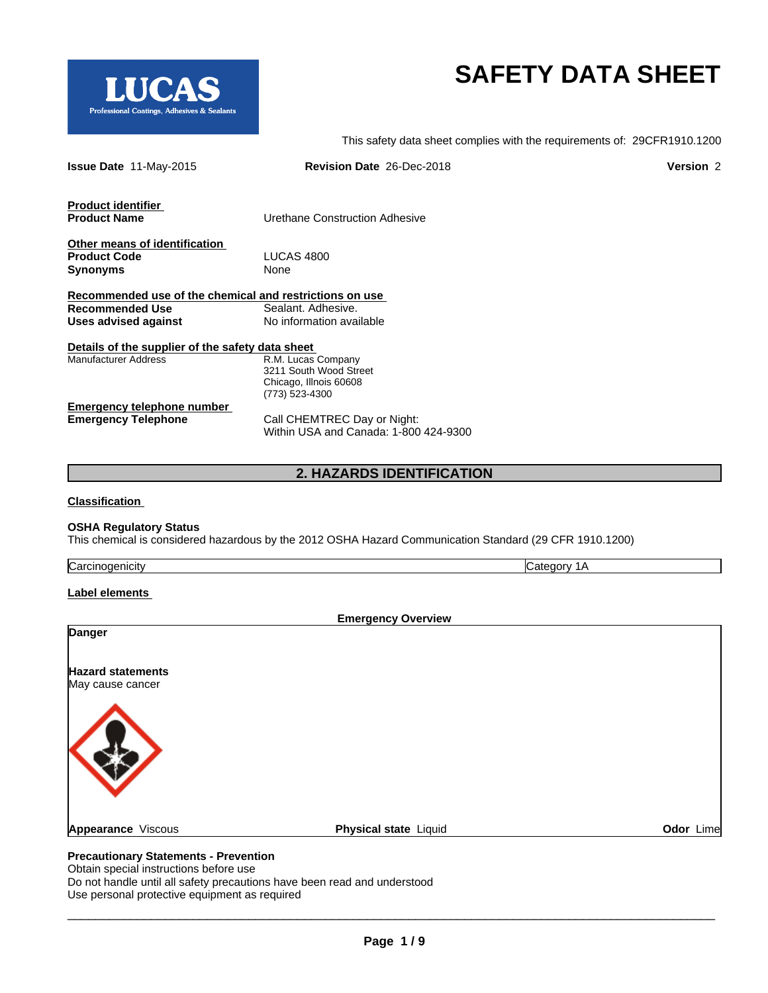

This safety data sheet complies with the requirements of: 29CFR1910.1200

| <b>Revision Date 26-Dec-2018</b>                                       | <b>Version 2</b>                                                                                                              |
|------------------------------------------------------------------------|-------------------------------------------------------------------------------------------------------------------------------|
| Urethane Construction Adhesive                                         |                                                                                                                               |
| LUCAS 4800<br>None                                                     |                                                                                                                               |
| Sealant. Adhesive.<br>No information available                         |                                                                                                                               |
| R.M. Lucas Company<br>3211 South Wood Street<br>Chicago, Illnois 60608 |                                                                                                                               |
| Call CHEMTREC Day or Night:<br>Within USA and Canada: 1-800 424-9300   |                                                                                                                               |
|                                                                        | Recommended use of the chemical and restrictions on use<br>Details of the supplier of the safety data sheet<br>(773) 523-4300 |

### **2. HAZARDS IDENTIFICATION**

**Classification**

### **OSHA Regulatory Status**

This chemical is considered hazardous by the 2012 OSHA Hazard Communication Standard (29 CFR 1910.1200)

| Carcinogenicity |  |
|-----------------|--|
|-----------------|--|

LUCAS Professional Coatings, Adhesives & Sealants

**Label elements**

| Physical state Liquid | Odor Lime |
|-----------------------|-----------|
|                       |           |

Obtain special instructions before use Do not handle until all safety precautions have been read and understood Use personal protective equipment as required

 $\overline{\phantom{a}}$  ,  $\overline{\phantom{a}}$  ,  $\overline{\phantom{a}}$  ,  $\overline{\phantom{a}}$  ,  $\overline{\phantom{a}}$  ,  $\overline{\phantom{a}}$  ,  $\overline{\phantom{a}}$  ,  $\overline{\phantom{a}}$  ,  $\overline{\phantom{a}}$  ,  $\overline{\phantom{a}}$  ,  $\overline{\phantom{a}}$  ,  $\overline{\phantom{a}}$  ,  $\overline{\phantom{a}}$  ,  $\overline{\phantom{a}}$  ,  $\overline{\phantom{a}}$  ,  $\overline{\phantom{a}}$ 

Category 1A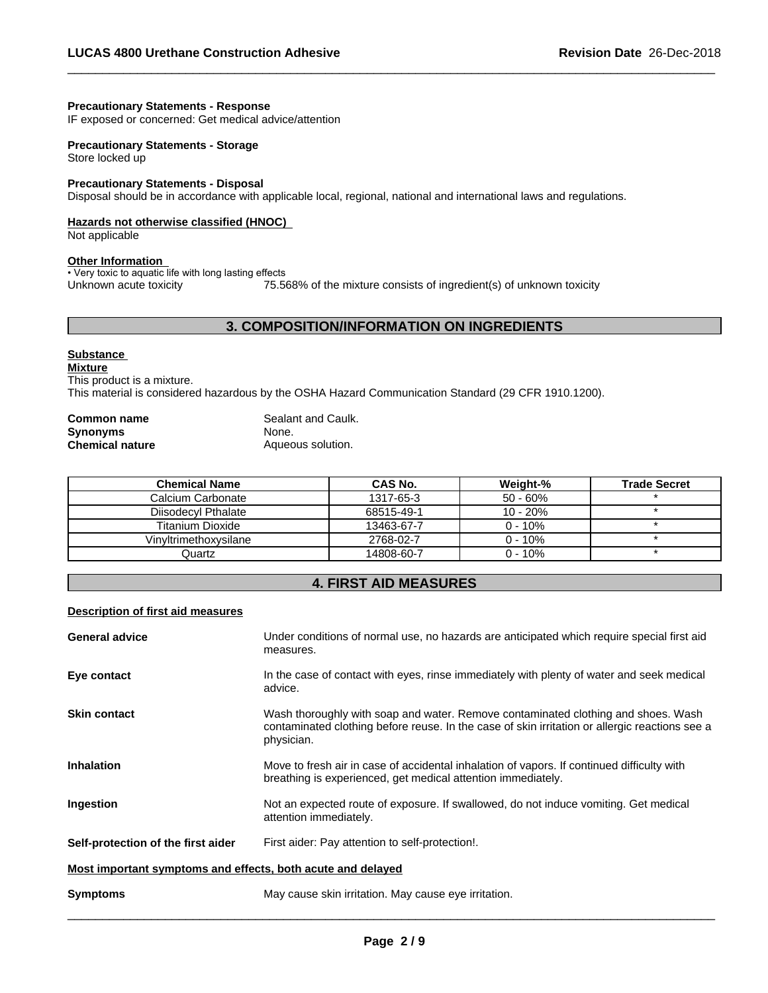### **Precautionary Statements - Response**

IF exposed or concerned: Get medical advice/attention

### **Precautionary Statements - Storage** Store locked up

# **Precautionary Statements - Disposal**

Disposal should be in accordance with applicable local, regional, national and international laws and regulations.

### **Hazards not otherwise classified (HNOC)**

Not applicable

### **Other Information**

• Very toxic to aquatic life with long lasting effects Unknown acute toxicity 75.568% of the mixture consists of ingredient(s) of unknown toxicity

### **3. COMPOSITION/INFORMATION ON INGREDIENTS**

### **Substance**

**Mixture** This product is a mixture.

This material is considered hazardous by the OSHA Hazard Communication Standard (29 CFR 1910.1200).

| <b>Common name</b>     | Sealant and Caulk. |
|------------------------|--------------------|
| <b>Synonyms</b>        | None.              |
| <b>Chemical nature</b> | Aqueous solution.  |

| Chemical Name           | CAS No.    | Weight-%    | <b>Trade Secret</b> |
|-------------------------|------------|-------------|---------------------|
| Calcium Carbonate       | 1317-65-3  | $50 - 60\%$ |                     |
| Diisodecyl Pthalate     | 68515-49-1 | 10 - 20%    |                     |
| <b>Titanium Dioxide</b> | 13463-67-7 | $0 - 10\%$  |                     |
| Vinvltrimethoxvsilane   | 2768-02-7  | $0 - 10\%$  |                     |
| Quartz                  | 14808-60-7 | $0 - 10\%$  |                     |

### **4. FIRST AID MEASURES**

### **Description of first aid measures**

| <b>General advice</b>                                       | Under conditions of normal use, no hazards are anticipated which require special first aid<br>measures.                                                                                           |
|-------------------------------------------------------------|---------------------------------------------------------------------------------------------------------------------------------------------------------------------------------------------------|
| Eye contact                                                 | In the case of contact with eyes, rinse immediately with plenty of water and seek medical<br>advice.                                                                                              |
| <b>Skin contact</b>                                         | Wash thoroughly with soap and water. Remove contaminated clothing and shoes. Wash<br>contaminated clothing before reuse. In the case of skin irritation or allergic reactions see a<br>physician. |
| <b>Inhalation</b>                                           | Move to fresh air in case of accidental inhalation of vapors. If continued difficulty with<br>breathing is experienced, get medical attention immediately.                                        |
| <b>Ingestion</b>                                            | Not an expected route of exposure. If swallowed, do not induce vomiting. Get medical<br>attention immediately.                                                                                    |
| Self-protection of the first aider                          | First aider: Pay attention to self-protection!.                                                                                                                                                   |
| Most important symptoms and effects, both acute and delayed |                                                                                                                                                                                                   |
| <b>Symptoms</b>                                             | May cause skin irritation. May cause eye irritation.                                                                                                                                              |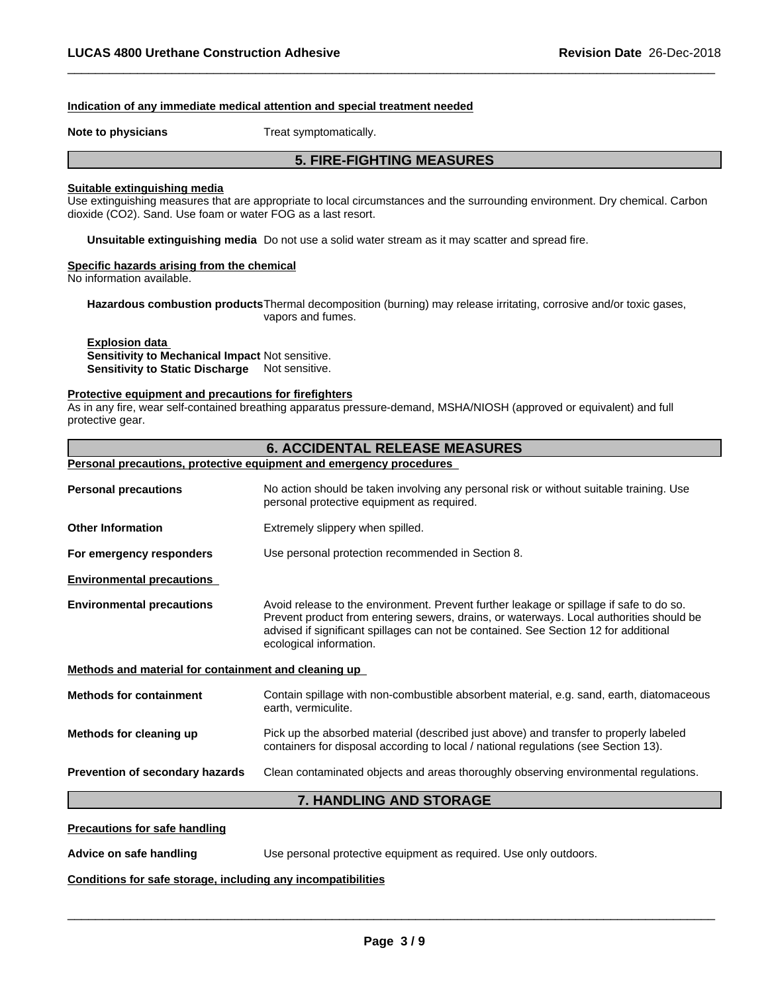### **Indication of any immediate medical attention and special treatment needed**

**Note to physicians** Treat symptomatically.

### **5. FIRE-FIGHTING MEASURES**

### **Suitable extinguishing media**

Use extinguishing measures that are appropriate to local circumstances and the surrounding environment. Dry chemical. Carbon dioxide (CO2). Sand. Use foam or water FOG as a last resort.

**Unsuitable extinguishing media** Do not use a solid water stream as it may scatterand spread fire.

### **Specific hazards arising from the chemical**

No information available.

Hazardous combustion products Thermal decomposition (burning) may release irritating, corrosive and/or toxic gases, vapors and fumes.

### **Explosion data**

**Sensitivity to Mechanical Impact** Not sensitive. **Sensitivity to Static Discharge** Not sensitive.

### **Protective equipment and precautions for firefighters**

As in any fire, wear self-contained breathing apparatus pressure-demand, MSHA/NIOSH (approved or equivalent) and full protective gear.

# **6. ACCIDENTAL RELEASE MEASURES Personal precautions, protective equipment and emergency procedures Personal precautions** No action should be taken involving any personal risk or without suitable training. Use personal protective equipment as required.**Other Information** Extremely slippery when spilled. **For emergency responders** Use personal protection recommended in Section 8. **Environmental precautions Environmental precautions** Avoid release to the environment. Prevent further leakage or spillage if safe to do so. Prevent product from entering sewers, drains, or waterways. Local authorities should be advised if significant spillages can not be contained. See Section 12 for additional ecological information. **Methods and material for containment and cleaning up Methods for containment** Contain spillage with non-combustible absorbent material, e.g. sand, earth, diatomaceous earth, vermiculite. **Methods for cleaning up** Pick up the absorbed material (described just above) and transfer to properly labeled containers for disposal according to local / national regulations (see Section 13). **Prevention of secondary hazards** Clean contaminated objects and areas thoroughly observing environmental regulations. **7. HANDLING AND STORAGE**

**Precautions for safe handling**

**Advice on safe handling Use personal protective equipment as required. Use only outdoors.** 

 $\overline{\phantom{a}}$  ,  $\overline{\phantom{a}}$  ,  $\overline{\phantom{a}}$  ,  $\overline{\phantom{a}}$  ,  $\overline{\phantom{a}}$  ,  $\overline{\phantom{a}}$  ,  $\overline{\phantom{a}}$  ,  $\overline{\phantom{a}}$  ,  $\overline{\phantom{a}}$  ,  $\overline{\phantom{a}}$  ,  $\overline{\phantom{a}}$  ,  $\overline{\phantom{a}}$  ,  $\overline{\phantom{a}}$  ,  $\overline{\phantom{a}}$  ,  $\overline{\phantom{a}}$  ,  $\overline{\phantom{a}}$ 

### **Conditions for safe storage, including any incompatibilities**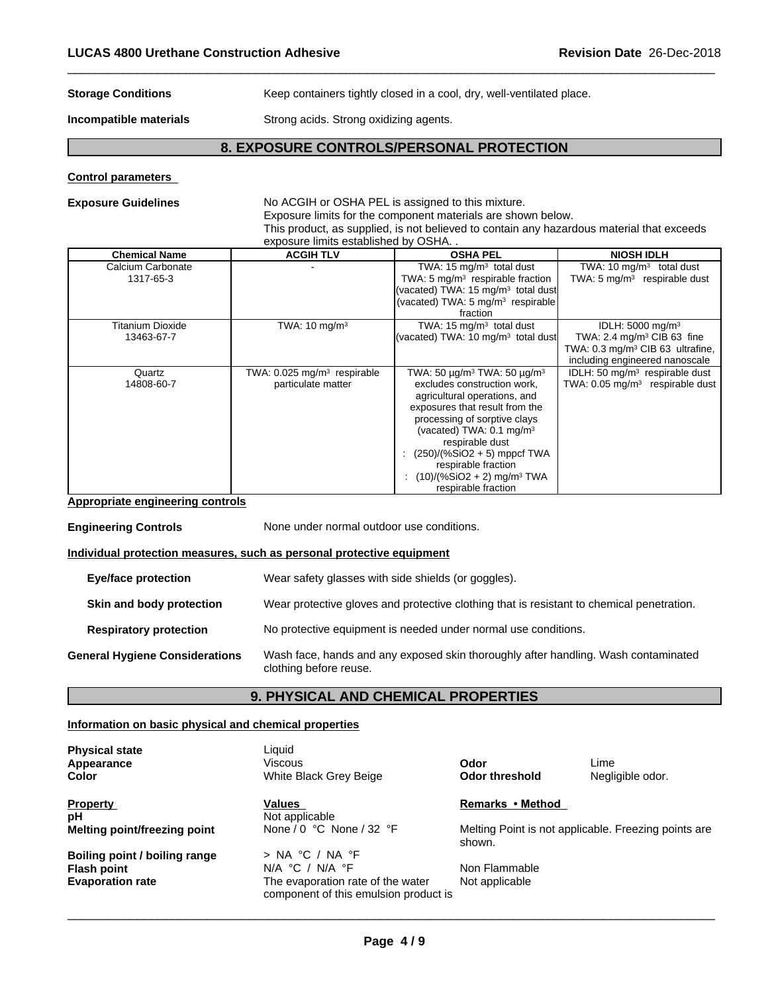### **Storage Conditions** Keep containers tightly closed in a cool, dry, well-ventilated place.

**Incompatible materials** Strong acids. Strong oxidizing agents.

### **8. EXPOSURE CONTROLS/PERSONAL PROTECTION**

### **Control parameters**

### **Exposure Guidelines** No ACGIH or OSHA PEL is assigned to this mixture. Exposure limits for the component materials are shown below. This product, as supplied, is not believed to contain any hazardous material that exceeds exposure limits established by OSHA. .

| <b>Chemical Name</b>    | <b>ACGIH TLV</b>                          | <b>OSHA PEL</b>                                               | <b>NIOSH IDLH</b>                             |
|-------------------------|-------------------------------------------|---------------------------------------------------------------|-----------------------------------------------|
| Calcium Carbonate       |                                           | TWA: $15 \text{ mg/m}^3$ total dust                           | TWA: 10 $mq/m3$ total dust                    |
| 1317-65-3               |                                           | TWA: 5 $mq/m3$ respirable fraction                            | TWA: $5 \text{ mg/m}^3$ respirable dust       |
|                         |                                           | (vacated) TWA: 15 mg/m <sup>3</sup> total dust                |                                               |
|                         |                                           | (vacated) TWA: 5 mg/m <sup>3</sup> respirable                 |                                               |
|                         |                                           | fraction                                                      |                                               |
| <b>Titanium Dioxide</b> | TWA: $10 \text{ mg/m}^3$                  | TWA: $15 \text{ mg/m}^3$ total dust                           | IDLH: 5000 mg/m <sup>3</sup>                  |
| 13463-67-7              |                                           | (vacated) TWA: 10 $mg/m3$ total dust                          | TWA: 2.4 mg/m <sup>3</sup> CIB 63 fine        |
|                         |                                           |                                                               | TWA: 0.3 mg/m <sup>3</sup> CIB 63 ultrafine,  |
|                         |                                           |                                                               | including engineered nanoscale                |
| Quartz                  | TWA: $0.025$ mg/m <sup>3</sup> respirable | TWA: 50 $\mu$ g/m <sup>3</sup> TWA: 50 $\mu$ g/m <sup>3</sup> | IDLH: 50 mg/m <sup>3</sup> respirable dust    |
| 14808-60-7              | particulate matter                        | excludes construction work,                                   | TWA: $0.05$ mg/m <sup>3</sup> respirable dust |
|                         |                                           | agricultural operations, and                                  |                                               |
|                         |                                           | exposures that result from the                                |                                               |
|                         |                                           | processing of sorptive clays                                  |                                               |
|                         |                                           | (vacated) TWA: $0.1 \text{ mg/m}^3$                           |                                               |
|                         |                                           | respirable dust                                               |                                               |
|                         |                                           | : $(250)/(%SiO2 + 5)$ mppcf TWA                               |                                               |
|                         |                                           | respirable fraction                                           |                                               |
|                         |                                           | : $(10)/(%SiO2 + 2)$ mg/m <sup>3</sup> TWA                    |                                               |
|                         |                                           | respirable fraction                                           |                                               |

### **Appropriate engineering controls**

**Engineering Controls** None under normal outdoor use conditions. **Individual protection measures, such as personal protective equipment Eye/face protection** Wear safety glasses with side shields (or goggles). **Skin and body protection** Wear protective gloves and protective clothing that is resistant to chemical penetration. **Respiratory protection** No protective equipment is needed under normal use conditions. **General Hygiene Considerations** Wash face, hands and any exposed skin thoroughly after handling. Wash contaminated clothing before reuse.

### **9. PHYSICAL AND CHEMICAL PROPERTIES**

### **Information on basic physical and chemical properties**

**Physical state**<br> **Appearance Appearance**<br> **Liquid Community** 

**Property Remarks Property Remarks Method pH**<br> **Melting point/freezing point** Mone / 0 °C None / 32 °F

**Flash point N/A**  $\degree$ C / N/A  $\degree$ F **Evaporation rate The evaporation rate** 

**Appearance** Viscous **Odor** Lime **Color Color Color Media Access Media Access Media Access Media Access Media Access Media Access Media Access Media Access Media Access Media Access Media Access Media Access Media Access Media Access Media Access Me** 

**Boiling point / boiling range**  $\rightarrow$  NA °C / NA °F<br> **Flash point DIA** °C / NA °F<br>
NOD Flammable The evaporation rate of the water component of this emulsion product is

**Melting point/freezing point** None / 0 °C None / 32 °F Melting Point is not applicable. Freezing points are shown.

Not applicable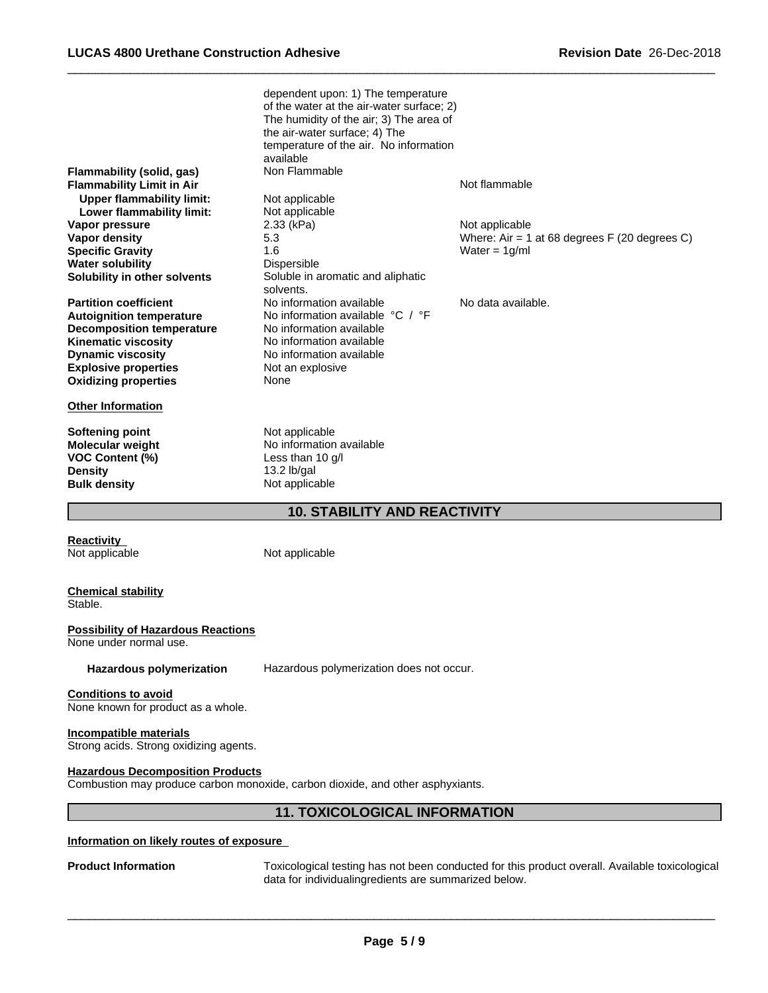|                                  | dependent upon: 1) The temperature        |                                                |
|----------------------------------|-------------------------------------------|------------------------------------------------|
|                                  | of the water at the air-water surface; 2) |                                                |
|                                  | The humidity of the air; 3) The area of   |                                                |
|                                  | the air-water surface; 4) The             |                                                |
|                                  | temperature of the air. No information    |                                                |
|                                  | available                                 |                                                |
| Flammability (solid, gas)        | Non Flammable                             |                                                |
| <b>Flammability Limit in Air</b> |                                           | Not flammable                                  |
| <b>Upper flammability limit:</b> | Not applicable                            |                                                |
| Lower flammability limit:        | Not applicable                            |                                                |
| Vapor pressure                   | 2.33 (kPa)                                | Not applicable                                 |
| Vapor density                    | 5.3                                       | Where: Air = 1 at 68 degrees $F(20$ degrees C) |
| <b>Specific Gravity</b>          | 1.6                                       | Water = $1q/ml$                                |
| <b>Water solubility</b>          | Dispersible                               |                                                |
| Solubility in other solvents     | Soluble in aromatic and aliphatic         |                                                |
|                                  | solvents.                                 |                                                |
| <b>Partition coefficient</b>     | No information available                  | No data available.                             |
| <b>Autoignition temperature</b>  | No information available °C / °F          |                                                |
| <b>Decomposition temperature</b> | No information available                  |                                                |
| <b>Kinematic viscosity</b>       | No information available                  |                                                |
| <b>Dynamic viscosity</b>         | No information available                  |                                                |
| <b>Explosive properties</b>      | Not an explosive                          |                                                |
| <b>Oxidizing properties</b>      | None                                      |                                                |
| <b>Other Information</b>         |                                           |                                                |
| Softening point                  | Not applicable                            |                                                |
| <b>Molecular weight</b>          | No information available                  |                                                |
| VOC Content (%)                  | Less than 10 $q/l$                        |                                                |
| <b>Density</b>                   | 13.2 lb/gal                               |                                                |

### **10. STABILITY AND REACTIVITY**

**Reactivity**<br>Not applicable

Not applicable

## **Chemical stability**

Stable.

### **Possibility of Hazardous Reactions**

**Bulk density** Not applicable

None under normal use.

**Hazardous polymerization** Hazardous polymerization does not occur.

### **Conditions to avoid**

None known for product as a whole.

### **Incompatible materials**

Strong acids. Strong oxidizing agents.

### **Hazardous Decomposition Products**

Combustion may produce carbon monoxide, carbon dioxide, and other asphyxiants.

### **11. TOXICOLOGICAL INFORMATION**

### **Information on likely routes of exposure**

**Product Information** Toxicological testing has not been conducted for this product overall. Available toxicological data for individualingredients are summarized below.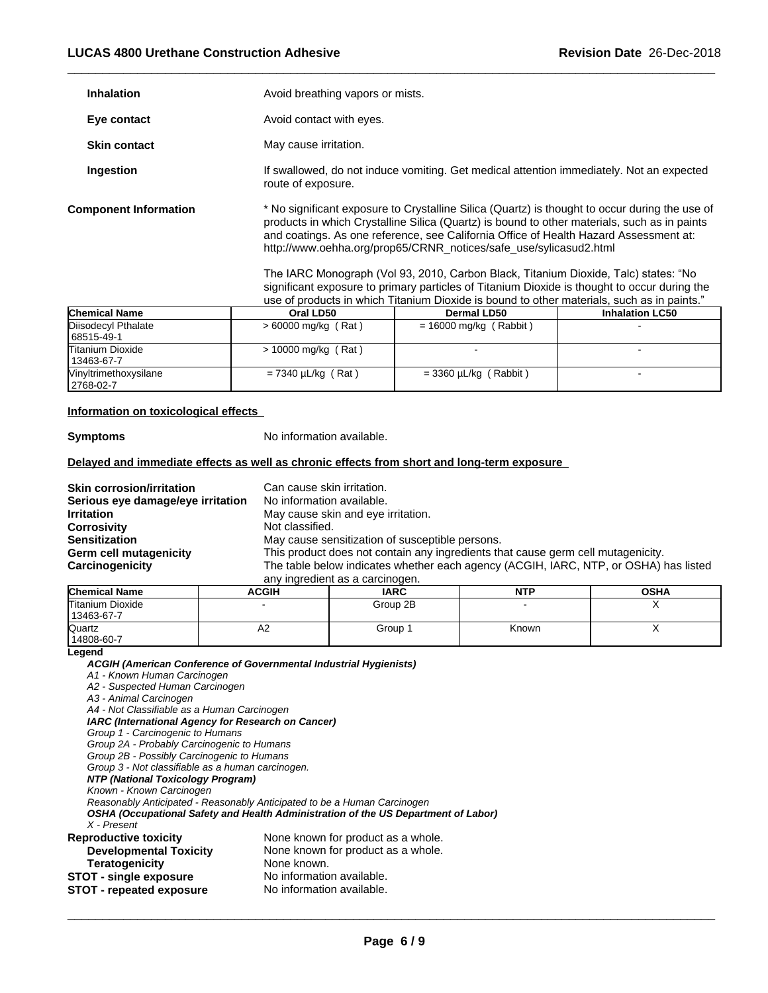| <b>Inhalation</b>            | Avoid breathing vapors or mists.                                                                                                                                                                                                                                                                                                                             |
|------------------------------|--------------------------------------------------------------------------------------------------------------------------------------------------------------------------------------------------------------------------------------------------------------------------------------------------------------------------------------------------------------|
| Eye contact                  | Avoid contact with eyes.                                                                                                                                                                                                                                                                                                                                     |
| <b>Skin contact</b>          | May cause irritation.                                                                                                                                                                                                                                                                                                                                        |
| Ingestion                    | If swallowed, do not induce vomiting. Get medical attention immediately. Not an expected<br>route of exposure.                                                                                                                                                                                                                                               |
| <b>Component Information</b> | * No significant exposure to Crystalline Silica (Quartz) is thought to occur during the use of<br>products in which Crystalline Silica (Quartz) is bound to other materials, such as in paints<br>and coatings. As one reference, see California Office of Health Hazard Assessment at:<br>http://www.oehha.org/prop65/CRNR notices/safe use/sylicasud2.html |
|                              | The IADC Monograph (Vol.03, 2010, Carbon Black, Titanium Dioxide, Talc) states: "No                                                                                                                                                                                                                                                                          |

The IARC Monograph (Vol 93, 2010, Carbon Black, Titanium Dioxide, Talc) states: "No significant exposure to primary particles of Titanium Dioxide is thought to occur during the use of products in which Titanium Dioxide is bound to other materials, such as in paints."

| <b>Chemical Name</b>                  | Oral LD50               | <b>Dermal LD50</b>       | <b>Inhalation LC50</b> |
|---------------------------------------|-------------------------|--------------------------|------------------------|
| Disodecyl Pthalate<br>68515-49-1      | $> 60000$ mg/kg (Rat)   | $= 16000$ mg/kg (Rabbit) |                        |
| <b>Titanium Dioxide</b><br>13463-67-7 | $> 10000$ mg/kg (Rat)   |                          |                        |
| Vinyltrimethoxysilane<br>2768-02-7    | $= 7340 \mu L/kg$ (Rat) | $=$ 3360 µL/kg (Rabbit)  |                        |

### **Information on toxicological effects**

**Symptoms** No information available.

### **Delayed and immediate effects as well as chronic effects from short and long-term exposure**

| <b>Skin corrosion/irritation</b>  | Can cause skin irritation.                                                           |
|-----------------------------------|--------------------------------------------------------------------------------------|
| Serious eye damage/eye irritation | No information available.                                                            |
|                                   |                                                                                      |
| <b>Irritation</b>                 | May cause skin and eye irritation.                                                   |
| Corrosivity                       | Not classified.                                                                      |
| Sensitization                     | May cause sensitization of susceptible persons.                                      |
| Germ cell mutagenicity            | This product does not contain any ingredients that cause germ cell mutagenicity.     |
| <b>Carcinogenicity</b>            | The table below indicates whether each agency (ACGIH, IARC, NTP, or OSHA) has listed |
|                                   | any ingredient as a carcinogen.                                                      |

| <b>Chemical Name</b>           | <b>ACGIH</b> | <b>IARC</b> | <b>NTP</b> | <b>OSHA</b> |
|--------------------------------|--------------|-------------|------------|-------------|
| Titanium Dioxide<br>13463-67-7 |              | Group 2B    |            |             |
| Quartz<br>14808-60-7           | ∼            | Group       | Known      |             |

**Legend**

*ACGIH (American Conference of Governmental Industrial Hygienists)*

*A1 - Known Human Carcinogen*

*A2 - Suspected Human Carcinogen*

*A3 - Animal Carcinogen*

*A4 - Not Classifiable as a Human Carcinogen IARC (International Agency for Research on Cancer)*

*Group 1 - Carcinogenic to Humans*

*Group 2A - Probably Carcinogenic to Humans*

*Group 2B - Possibly Carcinogenic to Humans*

*Group 3 - Not classifiable as a human carcinogen.*

*NTP (National Toxicology Program)*

*Known - Known Carcinogen*

*Reasonably Anticipated - Reasonably Anticipated to be a Human Carcinogen*

*OSHA (Occupational Safety and Health Administration of the US Department of Labor) X - Present* **Reproductive toxicity** None known for product as a whole.

| <b>Developmental Toxicity</b>   | None known for product as a whole. |
|---------------------------------|------------------------------------|
| <b>Teratogenicity</b>           | None known.                        |
| <b>STOT - single exposure</b>   | No information available.          |
| <b>STOT - repeated exposure</b> | No information available.          |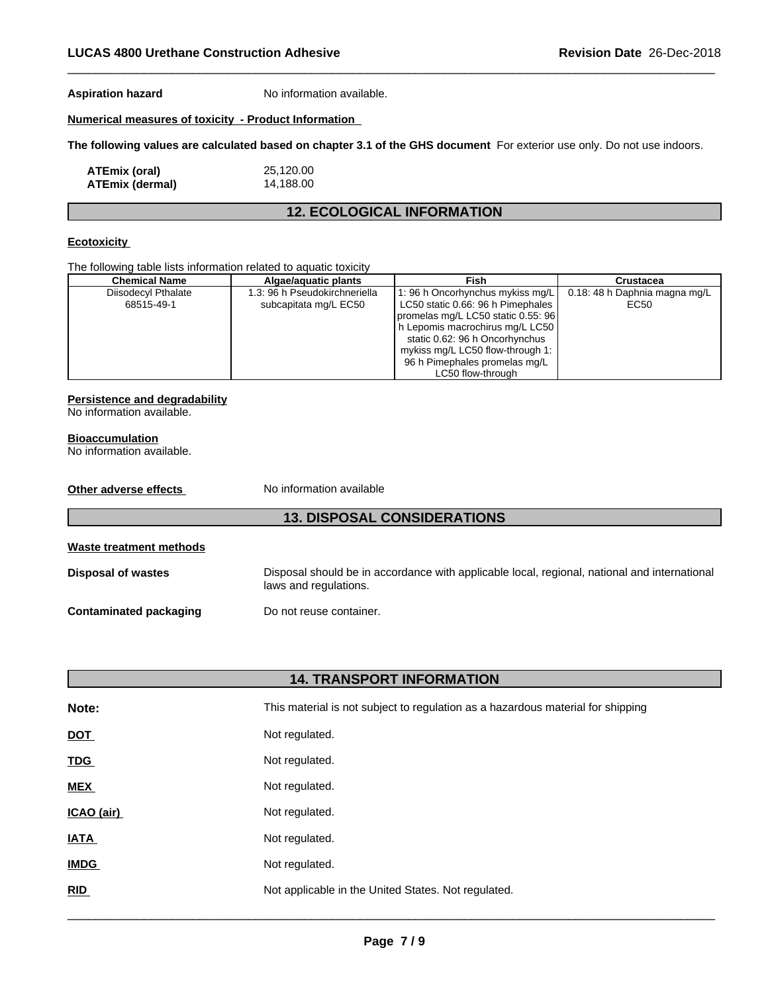**Aspiration hazard** No information available.

### **Numerical measures of toxicity - Product Information**

**The following values are calculated based on chapter 3.1 of the GHS document** For exterior use only. Do not use indoors.

| <b>ATEmix (oral)</b>   | 25,120.00 |
|------------------------|-----------|
| <b>ATEmix (dermal)</b> | 14,188.00 |

### **12. ECOLOGICAL INFORMATION**

### **Ecotoxicity**

The following table lists information related to aquatic toxicity

| <b>Chemical Name</b> | Algae/aguatic plants          | Fish                               | <b>Crustacea</b>              |
|----------------------|-------------------------------|------------------------------------|-------------------------------|
| Diisodecyl Pthalate  | 1.3: 96 h Pseudokirchneriella | 1:96 h Oncorhynchus mykiss mg/L    | 0.18: 48 h Daphnia magna mg/L |
| 68515-49-1           | subcapitata mg/L EC50         | LC50 static 0.66: 96 h Pimephales  | EC50                          |
|                      |                               | promelas mg/L LC50 static 0.55: 96 |                               |
|                      |                               | h Lepomis macrochirus mg/L LC50    |                               |
|                      |                               | static 0.62: 96 h Oncorhynchus     |                               |
|                      |                               | mykiss mg/L LC50 flow-through 1:   |                               |
|                      |                               | 96 h Pimephales promelas mg/L      |                               |
|                      |                               | LC50 flow-through                  |                               |

### **Persistence and degradability**

No information available.

### **Bioaccumulation**

No information available.

| Other adverse effects         | No information available                                                                                              |
|-------------------------------|-----------------------------------------------------------------------------------------------------------------------|
|                               | <b>13. DISPOSAL CONSIDERATIONS</b>                                                                                    |
| Waste treatment methods       |                                                                                                                       |
| <b>Disposal of wastes</b>     | Disposal should be in accordance with applicable local, regional, national and international<br>laws and regulations. |
| <b>Contaminated packaging</b> | Do not reuse container.                                                                                               |

| <b>14. TRANSPORT INFORMATION</b> |                                                                                 |  |
|----------------------------------|---------------------------------------------------------------------------------|--|
| Note:                            | This material is not subject to regulation as a hazardous material for shipping |  |
| <b>DOT</b>                       | Not regulated.                                                                  |  |
| <b>TDG</b>                       | Not regulated.                                                                  |  |
| <b>MEX</b>                       | Not regulated.                                                                  |  |
| ICAO (air)                       | Not regulated.                                                                  |  |
| <b>IATA</b>                      | Not regulated.                                                                  |  |
| <b>IMDG</b>                      | Not regulated.                                                                  |  |
| <b>RID</b>                       | Not applicable in the United States. Not regulated.                             |  |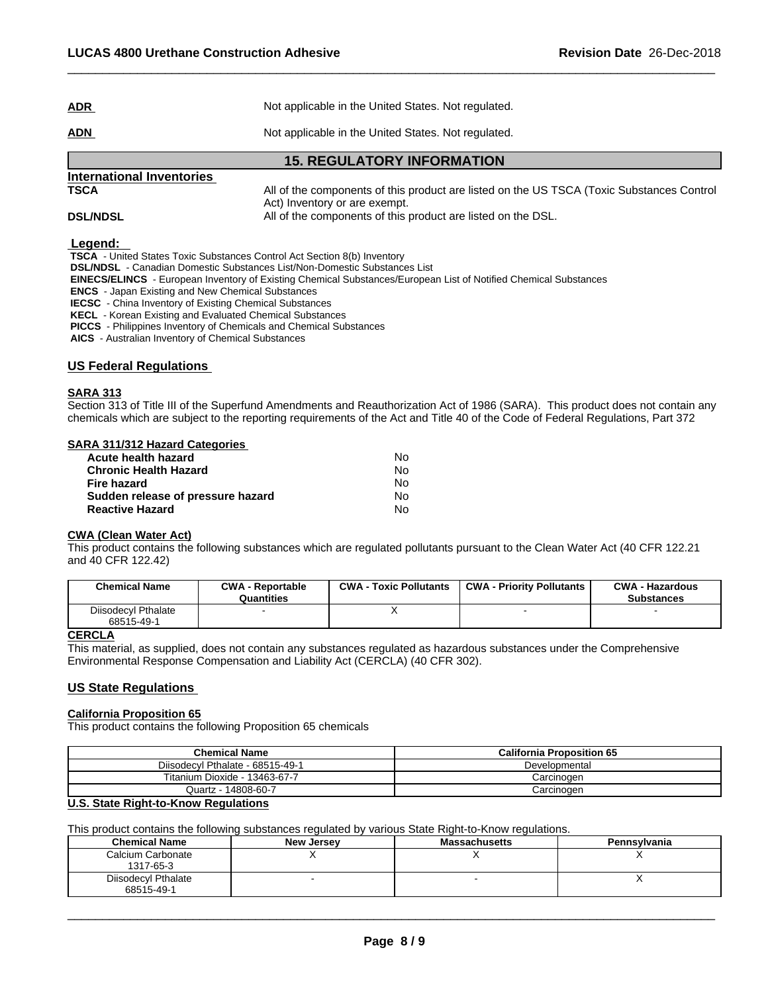|            | <b>15. REGULATORY INFORMATION</b>                   |
|------------|-----------------------------------------------------|
| <u>ADN</u> | Not applicable in the United States. Not regulated. |
| <u>ADR</u> | Not applicable in the United States. Not regulated. |

# **International Inventories**

**TSCA** All of the components of this product are listed on the US TSCA (Toxic Substances Control Act) Inventory or are exempt. **DSL/NDSL All of the components of this product are listed on the DSL.** 

 **Legend:** 

 **TSCA** - United States Toxic Substances Control Act Section 8(b) Inventory

 **DSL/NDSL** - Canadian Domestic Substances List/Non-Domestic Substances List

 **EINECS/ELINCS** - European Inventory of Existing Chemical Substances/European List of Notified Chemical Substances

 **ENCS** - Japan Existing and New Chemical Substances

 **IECSC** - China Inventory of Existing Chemical Substances

 **KECL** - Korean Existing and Evaluated Chemical Substances

 **PICCS** - Philippines Inventory of Chemicals and Chemical Substances

 **AICS** - Australian Inventory of Chemical Substances

### **US Federal Regulations**

### **SARA 313**

Section 313 of Title III of the Superfund Amendments and Reauthorization Act of 1986 (SARA). This product does not contain any chemicals which are subject to the reporting requirements of the Act and Title 40 of the Code of Federal Regulations, Part 372

### **SARA 311/312 Hazard Categories**

| Acute health hazard               | N٥ |
|-----------------------------------|----|
| <b>Chronic Health Hazard</b>      | N٥ |
| Fire hazard                       | N٥ |
| Sudden release of pressure hazard | N٥ |
| <b>Reactive Hazard</b>            | N٥ |

### **CWA (Clean WaterAct)**

This product contains the following substances which are regulated pollutants pursuant to the Clean Water Act (40 CFR 122.21 and 40 CFR 122.42)

| <b>Chemical Name</b>              | <b>CWA - Reportable</b><br>Quantities | CWA-<br>Toxic Pollutants | <b>CWA - Priority Pollutants</b> | <b>CWA - Hazardous</b><br><b>Substances</b> |
|-----------------------------------|---------------------------------------|--------------------------|----------------------------------|---------------------------------------------|
| Diisodecyl Pthalate<br>68515-49-1 |                                       |                          |                                  |                                             |

### **CERCLA**

This material, as supplied, does not contain any substances regulated as hazardous substances under the Comprehensive Environmental Response Compensation and Liability Act (CERCLA) (40 CFR 302).

### **US State Regulations**

### **California Proposition 65**

This product contains the following Proposition 65 chemicals

| <b>Chemical Name</b>             | <b>California Proposition 65</b> |
|----------------------------------|----------------------------------|
| Diisodecyl Pthalate - 68515-49-1 | Developmental                    |
| Titanium Dioxide - 13463-67-7    | Carcinogen                       |
| Quartz - 14808-60-7              | Carcinoɑen                       |

### **U.S. State Right-to-Know Regulations**

This product contains the following substances regulated by various State Right-to-Know regulations.

| <b>Chemical Name</b> | New Jersey | <b>Massachusetts</b> | Pennsylvania |
|----------------------|------------|----------------------|--------------|
| Calcium Carbonate    |            |                      |              |
| 1317-65-3            |            |                      |              |
| Diisodecyl Pthalate  |            |                      |              |
| 68515-49-1           |            |                      |              |